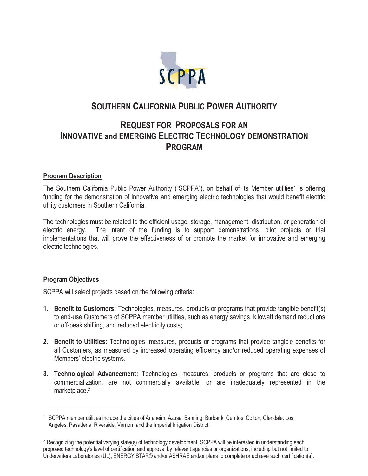

# **SOUTHERN CALIFORNIA PUBLIC POWER AUTHORITY**

# **REQUEST FOR PROPOSALS FOR AN INNOVATIVE and EMERGING ELECTRIC TECHNOLOGY DEMONSTRATION PROGRAM**

## **Program Description**

The Southern California Public Power Authority ("SCPPA"), on behalf of its Member utilities<sup>1</sup> is offering funding for the demonstration of innovative and emerging electric technologies that would benefit electric utility customers in Southern California.

The technologies must be related to the efficient usage, storage, management, distribution, or generation of electric energy. The intent of the funding is to support demonstrations, pilot projects or trial implementations that will prove the effectiveness of or promote the market for innovative and emerging electric technologies.

### **Program Objectives**

 $\overline{a}$ 

SCPPA will select projects based on the following criteria:

- **1. Benefit to Customers:** Technologies, measures, products or programs that provide tangible benefit(s) to end-use Customers of SCPPA member utilities, such as energy savings, kilowatt demand reductions or off-peak shifting, and reduced electricity costs;
- **2. Benefit to Utilities:** Technologies, measures, products or programs that provide tangible benefits for all Customers, as measured by increased operating efficiency and/or reduced operating expenses of Members' electric systems.
- **3. Technological Advancement:** Technologies, measures, products or programs that are close to commercialization, are not commercially available, or are inadequately represented in the marketplace.<sup>2</sup>

<sup>&</sup>lt;sup>1</sup> SCPPA member utilities include the cities of Anaheim, Azusa, Banning, Burbank, Cerritos, Colton, Glendale, Los Angeles, Pasadena, Riverside, Vernon, and the Imperial Irrigation District.

<sup>&</sup>lt;sup>2</sup> Recognizing the potential varying state(s) of technology development, SCPPA will be interested in understanding each proposed technology's level of certification and approval by relevant agencies or organizations, including but not limited to: Underwriters Laboratories (UL), ENERGY STAR® and/or ASHRAE and/or plans to complete or achieve such certification(s).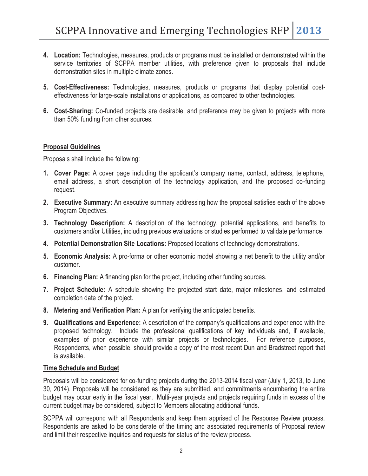- **4. Location:** Technologies, measures, products or programs must be installed or demonstrated within the service territories of SCPPA member utilities, with preference given to proposals that include demonstration sites in multiple climate zones.
- **5. Cost-Effectiveness:** Technologies, measures, products or programs that display potential costeffectiveness for large-scale installations or applications, as compared to other technologies.
- **6. Cost-Sharing:** Co-funded projects are desirable, and preference may be given to projects with more than 50% funding from other sources.

## **Proposal Guidelines**

Proposals shall include the following:

- **1. Cover Page:** A cover page including the applicant's company name, contact, address, telephone, email address, a short description of the technology application, and the proposed co-funding request.
- **2. Executive Summary:** An executive summary addressing how the proposal satisfies each of the above Program Objectives.
- **3. Technology Description:** A description of the technology, potential applications, and benefits to customers and/or Utilities, including previous evaluations or studies performed to validate performance.
- **4. Potential Demonstration Site Locations:** Proposed locations of technology demonstrations.
- **5. Economic Analysis:** A pro-forma or other economic model showing a net benefit to the utility and/or customer.
- **6. Financing Plan:** A financing plan for the project, including other funding sources.
- **7. Project Schedule:** A schedule showing the projected start date, major milestones, and estimated completion date of the project.
- **8. Metering and Verification Plan:** A plan for verifying the anticipated benefits.
- **9. Qualifications and Experience:** A description of the company's qualifications and experience with the proposed technology. Include the professional qualifications of key individuals and, if available, examples of prior experience with similar projects or technologies. For reference purposes, Respondents, when possible, should provide a copy of the most recent Dun and Bradstreet report that is available.

### **Time Schedule and Budget**

Proposals will be considered for co-funding projects during the 2013-2014 fiscal year (July 1, 2013, to June 30, 2014). Proposals will be considered as they are submitted, and commitments encumbering the entire budget may occur early in the fiscal year. Multi-year projects and projects requiring funds in excess of the current budget may be considered, subject to Members allocating additional funds.

SCPPA will correspond with all Respondents and keep them apprised of the Response Review process. Respondents are asked to be considerate of the timing and associated requirements of Proposal review and limit their respective inquiries and requests for status of the review process.